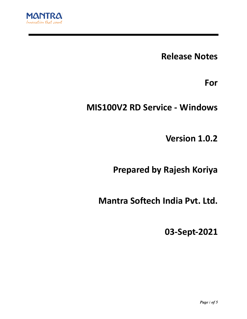

**Release Notes**

**For**

# **MIS100V2 RD Service - Windows**

**Version 1.0.2**

**Prepared by Rajesh Koriya**

**Mantra Softech India Pvt. Ltd.**

**03-Sept-2021**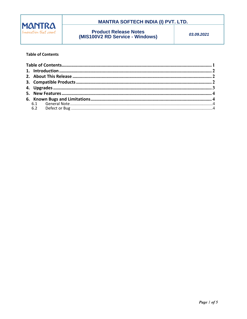

## **MANTRA SOFTECH INDIA (I) PVT. LTD.**

# **Product Release Notes**<br>(MIS100V2 RD Service - Windows)

03.09.2021

### **Table of Contents**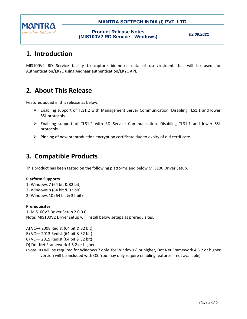

## **MANTRA SOFTECH INDIA (I) PVT. LTD.**

*03.09.2021*

# **1. Introduction**

MIS100V2 RD Service facility to capture biometric data of user/resident that will be used for Authentication/EKYC using Aadhaar authentication/EKYC API.

# **2. About This Release**

Features added in this release as below.

- Enabling support of TLS1.2 with Management Server Communication. Disabling TLS1.1 and lower SSL protocols.
- Enabling support of TLS1.2 with RD Service Communication. Disabling TLS1.1 and lower SSL protocols.
- $\triangleright$  Pinning of new preproduction encryption certificate due to expiry of old certificate.

# **3. Compatible Products**

This product has been tested on the following platforms and below MFS100 Driver Setup.

#### **Platform Supports**

1) Windows 7 (64 bit & 32 bit) 2) Windows 8 (64 bit & 32 bit) 3) Windows 10 (64 bit & 32 bit)

#### **Prerequisites**

1) MIS100V2 Driver Setup 2.0.0.0 Note: MIS100V2 Driver setup will install below setups as prerequisites.

A) VC++ 2008 Redist (64 bit & 32 bit)

B) VC++ 2013 Redist (64 bit & 32 bit)

C) VC++ 2015 Redist (64 bit & 32 bit)

D) Dot Net Framework 4.5.2 or higher

(Note: Its will be required for Windows 7 only. for Windows 8 or higher, Dot Net Framework 4.5.2 or higher version will be included with OS. You may only require enabling features if not available)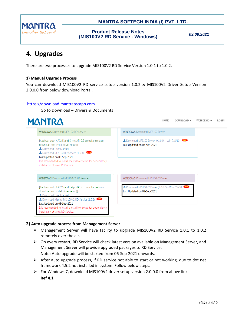

## **MANTRA SOFTECH INDIA (I) PVT. LTD.**

**Product Release Notes (MIS100V2 RD Service - Windows)**

*03.09.2021*

# **4. Upgrades**

There are two processes to upgrade MIS100V2 RD Service Version 1.0.1 to 1.0.2.

## **1) Manual Upgrade Process**

You can download MIS100V2 RD service setup version 1.0.2 & MIS100V2 Driver Setup Version 2.0.0.0 from below download Portal.

### [https://download.mantratecapp.com](https://download.mantratecapp.com/)

Go to Download – Drivers & Documents

| <b>MANTRA</b>                                                                                                                                                                                         |  | <b>HOMF</b><br>DOWNLOAD -<br>WEB DEMO $\sim$<br><b>LOGIN</b>                   |
|-------------------------------------------------------------------------------------------------------------------------------------------------------------------------------------------------------|--|--------------------------------------------------------------------------------|
| <b>WINDOWS</b> Download MFS100 RD Service                                                                                                                                                             |  | <b>WINDOWS Download MFS100 Driver</b>                                          |
| [Aadhaar auth API 2.5 and E-Kyc API 2.5 compliance (also<br>download and install driver setup)]<br><b>L</b> Download User Manual<br>Download MFS100 RD Service (1.0.3)<br>Last Updated on 03-Sep-2021 |  | Download MFS100 Driver (9.1.0.0) - Win 7/8/10<br>Last Updated on 03-Sep-2021   |
| It is recomanded to install latest driver setup for dependency<br>installation of latest RD Service.                                                                                                  |  |                                                                                |
| <b>WINDOWS Download MIS100V2 RD Service</b>                                                                                                                                                           |  | <b>WINDOWS</b> Download MIS100V2 Driver                                        |
| [Aadhaar auth API 2.5 and E-Kyc API 2.5 compliance (also<br>download and install driver setup)]<br>Download User Manual                                                                               |  | Download MIS100V2 Driver (2.0.0.0) - Win 7/8/10<br>Last Updated on 03-Sep-2021 |
| Download Mantra MIS100V2 RD Service (1.0.2)<br>Last Updated on 03-Sep-2021                                                                                                                            |  |                                                                                |
| It is recomanded to install latest driver setup for dependency                                                                                                                                        |  |                                                                                |

## **2) Auto upgrade process from Management Server**

- Management Server will have facility to upgrade MIS100V2 RD Service 1.0.1 to 1.0.2 remotely over the air.
- $\triangleright$  On every restart, RD Service will check latest version available on Management Server, and Management Server will provide upgraded packages to RD Service. Note: Auto upgrade will be started from 06-Sep-2021 onwards.
- $\triangleright$  After auto upgrade process, if RD service not able to start or not working, due to dot net framework 4.5.2 not installed in system. Follow below steps.
- $\triangleright$  For Windows 7, download MIS100V2 driver setup version 2.0.0.0 from above link. **Ref 4.1**